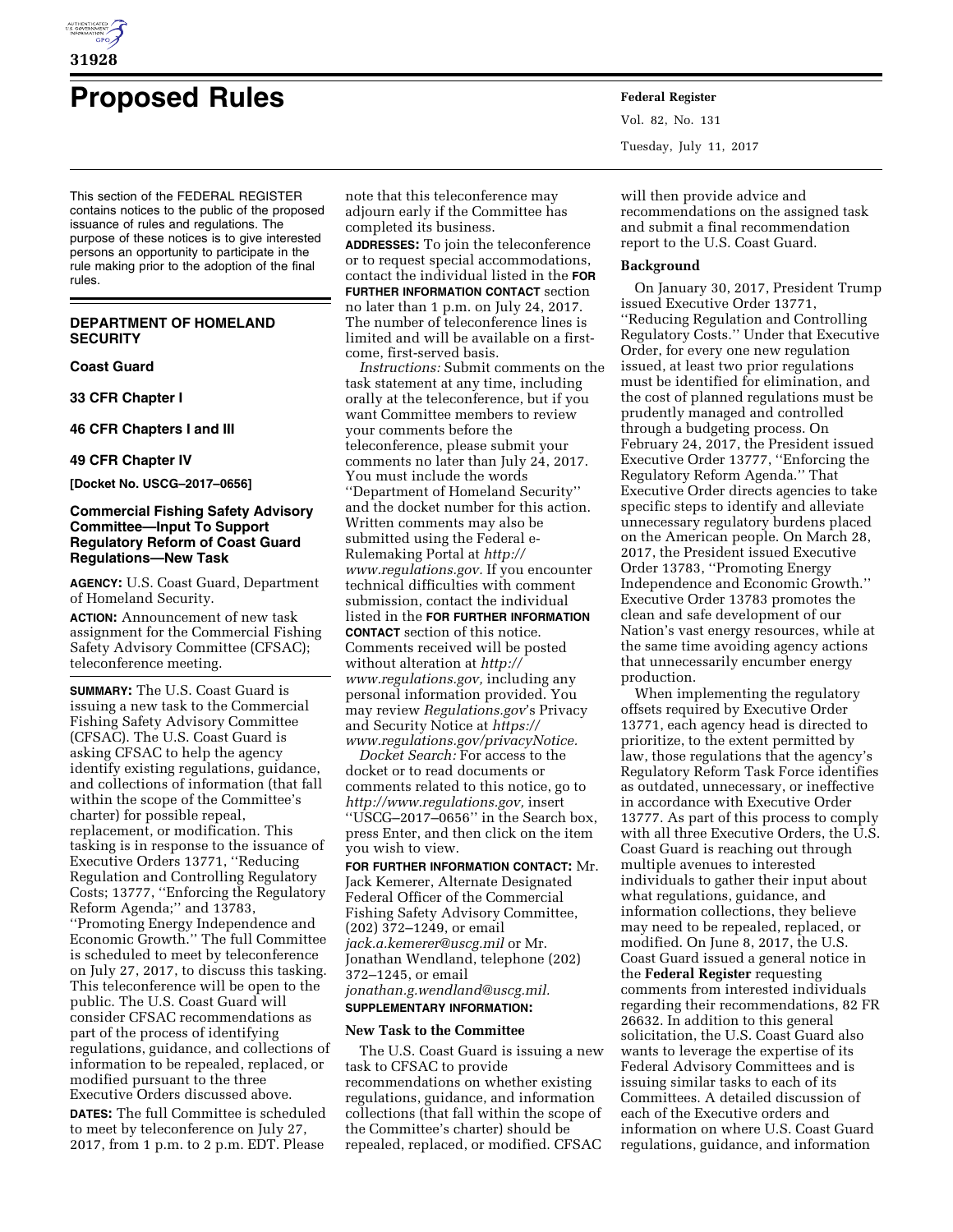

# **Proposed Rules Federal Register**

This section of the FEDERAL REGISTER contains notices to the public of the proposed issuance of rules and regulations. The purpose of these notices is to give interested persons an opportunity to participate in the rule making prior to the adoption of the final rules.

# **DEPARTMENT OF HOMELAND SECURITY**

**Coast Guard** 

**33 CFR Chapter I** 

**46 CFR Chapters I and III** 

**49 CFR Chapter IV** 

**[Docket No. USCG–2017–0656]** 

# **Commercial Fishing Safety Advisory Committee—Input To Support Regulatory Reform of Coast Guard Regulations—New Task**

**AGENCY:** U.S. Coast Guard, Department of Homeland Security.

**ACTION:** Announcement of new task assignment for the Commercial Fishing Safety Advisory Committee (CFSAC); teleconference meeting.

**SUMMARY:** The U.S. Coast Guard is issuing a new task to the Commercial Fishing Safety Advisory Committee (CFSAC). The U.S. Coast Guard is asking CFSAC to help the agency identify existing regulations, guidance, and collections of information (that fall within the scope of the Committee's charter) for possible repeal, replacement, or modification. This tasking is in response to the issuance of Executive Orders 13771, ''Reducing Regulation and Controlling Regulatory Costs; 13777, ''Enforcing the Regulatory Reform Agenda;'' and 13783, ''Promoting Energy Independence and Economic Growth.'' The full Committee is scheduled to meet by teleconference on July 27, 2017, to discuss this tasking. This teleconference will be open to the public. The U.S. Coast Guard will consider CFSAC recommendations as part of the process of identifying regulations, guidance, and collections of information to be repealed, replaced, or modified pursuant to the three Executive Orders discussed above.

**DATES:** The full Committee is scheduled to meet by teleconference on July 27, 2017, from 1 p.m. to 2 p.m. EDT. Please

note that this teleconference may adjourn early if the Committee has completed its business.

**ADDRESSES:** To join the teleconference or to request special accommodations, contact the individual listed in the **FOR FURTHER INFORMATION CONTACT** section no later than 1 p.m. on July 24, 2017. The number of teleconference lines is limited and will be available on a firstcome, first-served basis.

*Instructions:* Submit comments on the task statement at any time, including orally at the teleconference, but if you want Committee members to review your comments before the teleconference, please submit your comments no later than July 24, 2017. You must include the words ''Department of Homeland Security'' and the docket number for this action. Written comments may also be submitted using the Federal e-Rulemaking Portal at *[http://](http://www.regulations.gov) [www.regulations.gov.](http://www.regulations.gov)* If you encounter technical difficulties with comment submission, contact the individual listed in the **FOR FURTHER INFORMATION CONTACT** section of this notice. Comments received will be posted without alteration at *[http://](http://www.regulations.gov) [www.regulations.gov,](http://www.regulations.gov)* including any personal information provided. You may review *Regulations.gov*'s Privacy and Security Notice at *[https://](https://www.regulations.gov/privacyNotice) [www.regulations.gov/privacyNotice.](https://www.regulations.gov/privacyNotice)* 

*Docket Search:* For access to the docket or to read documents or comments related to this notice, go to *[http://www.regulations.gov,](http://www.regulations.gov)* insert ''USCG–2017–0656'' in the Search box, press Enter, and then click on the item you wish to view.

**FOR FURTHER INFORMATION CONTACT:** Mr. Jack Kemerer, Alternate Designated Federal Officer of the Commercial Fishing Safety Advisory Committee, (202) 372–1249, or email *[jack.a.kemerer@uscg.mil](mailto:jack.a.kemerer@uscg.mil)* or Mr. Jonathan Wendland, telephone (202) 372–1245, or email *[jonathan.g.wendland@uscg.mil.](mailto:jonathan.g.wendland@uscg.mil)*  **SUPPLEMENTARY INFORMATION:** 

### **New Task to the Committee**

The U.S. Coast Guard is issuing a new task to CFSAC to provide recommendations on whether existing regulations, guidance, and information collections (that fall within the scope of the Committee's charter) should be repealed, replaced, or modified. CFSAC

Vol. 82, No. 131 Tuesday, July 11, 2017

will then provide advice and recommendations on the assigned task and submit a final recommendation report to the U.S. Coast Guard.

# **Background**

On January 30, 2017, President Trump issued Executive Order 13771, ''Reducing Regulation and Controlling Regulatory Costs.'' Under that Executive Order, for every one new regulation issued, at least two prior regulations must be identified for elimination, and the cost of planned regulations must be prudently managed and controlled through a budgeting process. On February 24, 2017, the President issued Executive Order 13777, ''Enforcing the Regulatory Reform Agenda.'' That Executive Order directs agencies to take specific steps to identify and alleviate unnecessary regulatory burdens placed on the American people. On March 28, 2017, the President issued Executive Order 13783, ''Promoting Energy Independence and Economic Growth.'' Executive Order 13783 promotes the clean and safe development of our Nation's vast energy resources, while at the same time avoiding agency actions that unnecessarily encumber energy production.

When implementing the regulatory offsets required by Executive Order 13771, each agency head is directed to prioritize, to the extent permitted by law, those regulations that the agency's Regulatory Reform Task Force identifies as outdated, unnecessary, or ineffective in accordance with Executive Order 13777. As part of this process to comply with all three Executive Orders, the U.S. Coast Guard is reaching out through multiple avenues to interested individuals to gather their input about what regulations, guidance, and information collections, they believe may need to be repealed, replaced, or modified. On June 8, 2017, the U.S. Coast Guard issued a general notice in the **Federal Register** requesting comments from interested individuals regarding their recommendations, 82 FR 26632. In addition to this general solicitation, the U.S. Coast Guard also wants to leverage the expertise of its Federal Advisory Committees and is issuing similar tasks to each of its Committees. A detailed discussion of each of the Executive orders and information on where U.S. Coast Guard regulations, guidance, and information